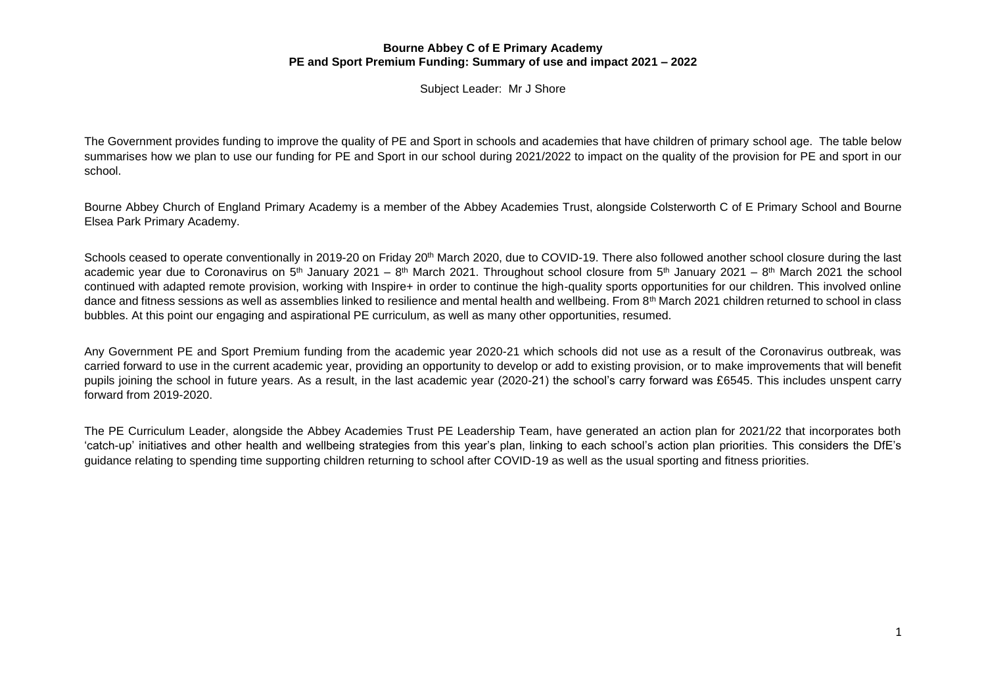Subject Leader: Mr J Shore

The Government provides funding to improve the quality of PE and Sport in schools and academies that have children of primary school age. The table below summarises how we plan to use our funding for PE and Sport in our school during 2021/2022 to impact on the quality of the provision for PE and sport in our school.

Bourne Abbey Church of England Primary Academy is a member of the Abbey Academies Trust, alongside Colsterworth C of E Primary School and Bourne Elsea Park Primary Academy.

Schools ceased to operate conventionally in 2019-20 on Friday 20<sup>th</sup> March 2020, due to COVID-19. There also followed another school closure during the last academic year due to Coronavirus on 5<sup>th</sup> January 2021 – 8<sup>th</sup> March 2021. Throughout school closure from 5<sup>th</sup> January 2021 – 8<sup>th</sup> March 2021 the school continued with adapted remote provision, working with Inspire+ in order to continue the high-quality sports opportunities for our children. This involved online dance and fitness sessions as well as assemblies linked to resilience and mental health and wellbeing. From 8th March 2021 children returned to school in class bubbles. At this point our engaging and aspirational PE curriculum, as well as many other opportunities, resumed.

Any Government PE and Sport Premium funding from the academic year 2020-21 which schools did not use as a result of the Coronavirus outbreak, was carried forward to use in the current academic year, providing an opportunity to develop or add to existing provision, or to make improvements that will benefit pupils joining the school in future years. As a result, in the last academic year (2020-21) the school's carry forward was £6545. This includes unspent carry forward from 2019-2020.

The PE Curriculum Leader, alongside the Abbey Academies Trust PE Leadership Team, have generated an action plan for 2021/22 that incorporates both 'catch-up' initiatives and other health and wellbeing strategies from this year's plan, linking to each school's action plan priorities. This considers the DfE's guidance relating to spending time supporting children returning to school after COVID-19 as well as the usual sporting and fitness priorities.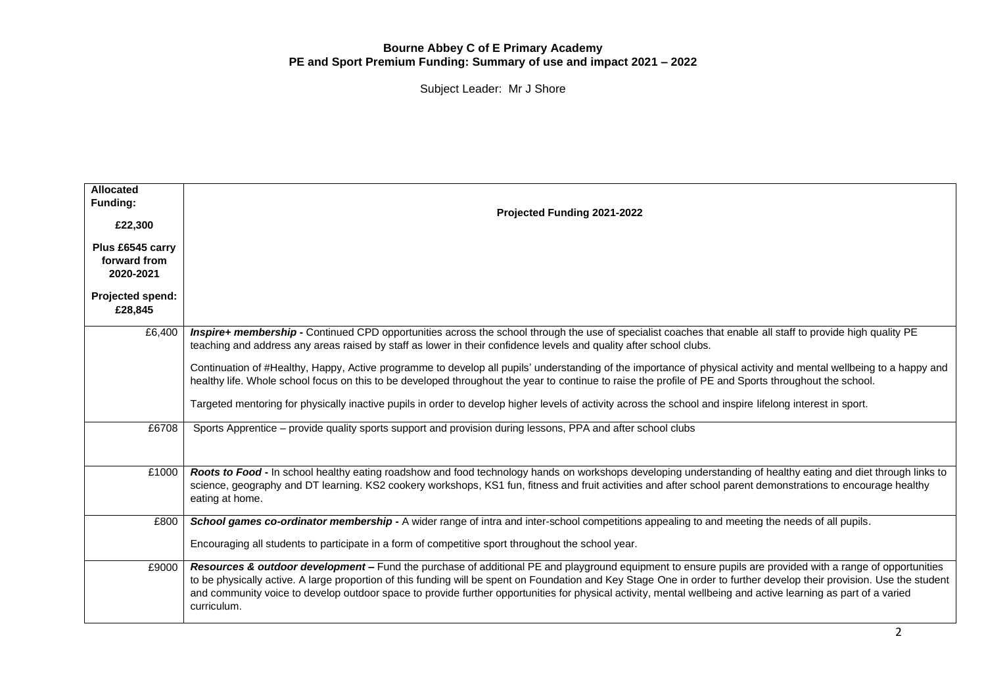| <b>Allocated</b><br>Funding:<br>£22,300<br>Plus £6545 carry<br>forward from<br>2020-2021 | Projected Funding 2021-2022                                                                                                                                                                                                                                                                                                                                                                                                                                                                                         |
|------------------------------------------------------------------------------------------|---------------------------------------------------------------------------------------------------------------------------------------------------------------------------------------------------------------------------------------------------------------------------------------------------------------------------------------------------------------------------------------------------------------------------------------------------------------------------------------------------------------------|
| Projected spend:<br>£28,845                                                              |                                                                                                                                                                                                                                                                                                                                                                                                                                                                                                                     |
| £6,400                                                                                   | Inspire+ membership - Continued CPD opportunities across the school through the use of specialist coaches that enable all staff to provide high quality PE<br>teaching and address any areas raised by staff as lower in their confidence levels and quality after school clubs.                                                                                                                                                                                                                                    |
|                                                                                          | Continuation of #Healthy, Happy, Active programme to develop all pupils' understanding of the importance of physical activity and mental wellbeing to a happy and<br>healthy life. Whole school focus on this to be developed throughout the year to continue to raise the profile of PE and Sports throughout the school.                                                                                                                                                                                          |
|                                                                                          | Targeted mentoring for physically inactive pupils in order to develop higher levels of activity across the school and inspire lifelong interest in sport.                                                                                                                                                                                                                                                                                                                                                           |
| £6708                                                                                    | Sports Apprentice – provide quality sports support and provision during lessons, PPA and after school clubs                                                                                                                                                                                                                                                                                                                                                                                                         |
| £1000                                                                                    | Roots to Food - In school healthy eating roadshow and food technology hands on workshops developing understanding of healthy eating and diet through links to<br>science, geography and DT learning. KS2 cookery workshops, KS1 fun, fitness and fruit activities and after school parent demonstrations to encourage healthy<br>eating at home.                                                                                                                                                                    |
| £800                                                                                     | School games co-ordinator membership - A wider range of intra and inter-school competitions appealing to and meeting the needs of all pupils.<br>Encouraging all students to participate in a form of competitive sport throughout the school year.                                                                                                                                                                                                                                                                 |
| £9000                                                                                    | Resources & outdoor development - Fund the purchase of additional PE and playground equipment to ensure pupils are provided with a range of opportunities<br>to be physically active. A large proportion of this funding will be spent on Foundation and Key Stage One in order to further develop their provision. Use the student<br>and community voice to develop outdoor space to provide further opportunities for physical activity, mental wellbeing and active learning as part of a varied<br>curriculum. |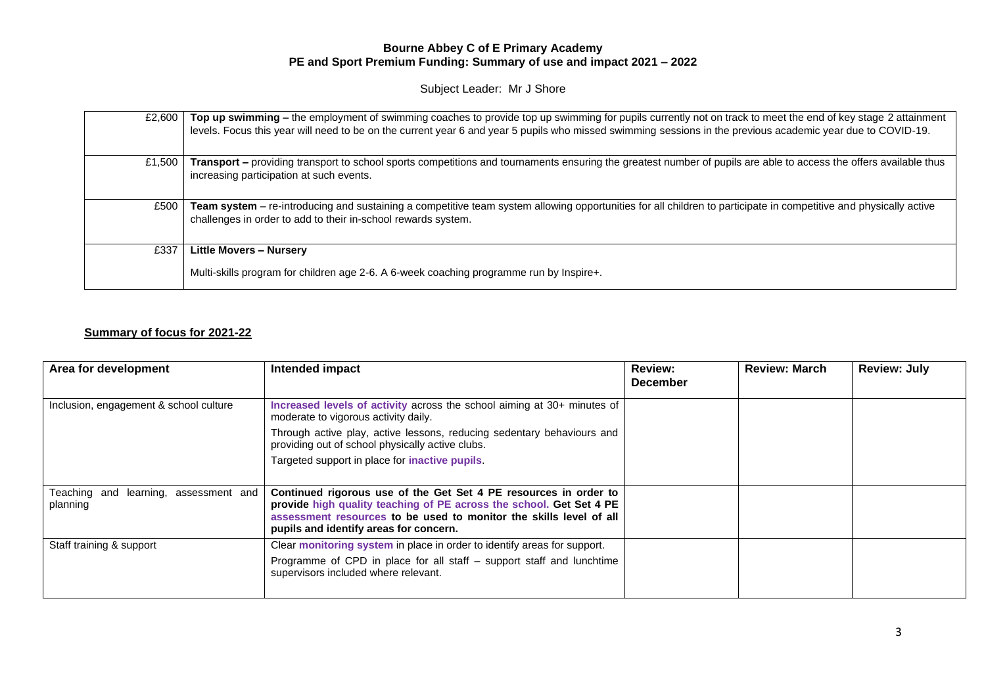Subject Leader: Mr J Shore

| £2.600 | Top up swimming – the employment of swimming coaches to provide top up swimming for pupils currently not on track to meet the end of key stage 2 attainment<br>levels. Focus this year will need to be on the current year 6 and year 5 pupils who missed swimming sessions in the previous academic year due to COVID-19. |
|--------|----------------------------------------------------------------------------------------------------------------------------------------------------------------------------------------------------------------------------------------------------------------------------------------------------------------------------|
| £1.500 | Transport – providing transport to school sports competitions and tournaments ensuring the greatest number of pupils are able to access the offers available thus<br>increasing participation at such events.                                                                                                              |
| £500   | Team system - re-introducing and sustaining a competitive team system allowing opportunities for all children to participate in competitive and physically active<br>challenges in order to add to their in-school rewards system.                                                                                         |
| £337   | <b>Little Movers - Nursery</b><br>Multi-skills program for children age 2-6. A 6-week coaching programme run by Inspire+.                                                                                                                                                                                                  |

# **Summary of focus for 2021-22**

| Area for development                              | Intended impact                                                                                                                                                                                                                                         | <b>Review:</b><br><b>December</b> | <b>Review: March</b> | <b>Review: July</b> |
|---------------------------------------------------|---------------------------------------------------------------------------------------------------------------------------------------------------------------------------------------------------------------------------------------------------------|-----------------------------------|----------------------|---------------------|
| Inclusion, engagement & school culture            | Increased levels of activity across the school aiming at 30+ minutes of<br>moderate to vigorous activity daily.                                                                                                                                         |                                   |                      |                     |
|                                                   | Through active play, active lessons, reducing sedentary behaviours and<br>providing out of school physically active clubs.                                                                                                                              |                                   |                      |                     |
|                                                   | Targeted support in place for <i>inactive</i> pupils.                                                                                                                                                                                                   |                                   |                      |                     |
| Teaching and learning, assessment and<br>planning | Continued rigorous use of the Get Set 4 PE resources in order to<br>provide high quality teaching of PE across the school. Get Set 4 PE<br>assessment resources to be used to monitor the skills level of all<br>pupils and identify areas for concern. |                                   |                      |                     |
| Staff training & support                          | Clear monitoring system in place in order to identify areas for support.                                                                                                                                                                                |                                   |                      |                     |
|                                                   | Programme of CPD in place for all staff - support staff and lunchtime<br>supervisors included where relevant.                                                                                                                                           |                                   |                      |                     |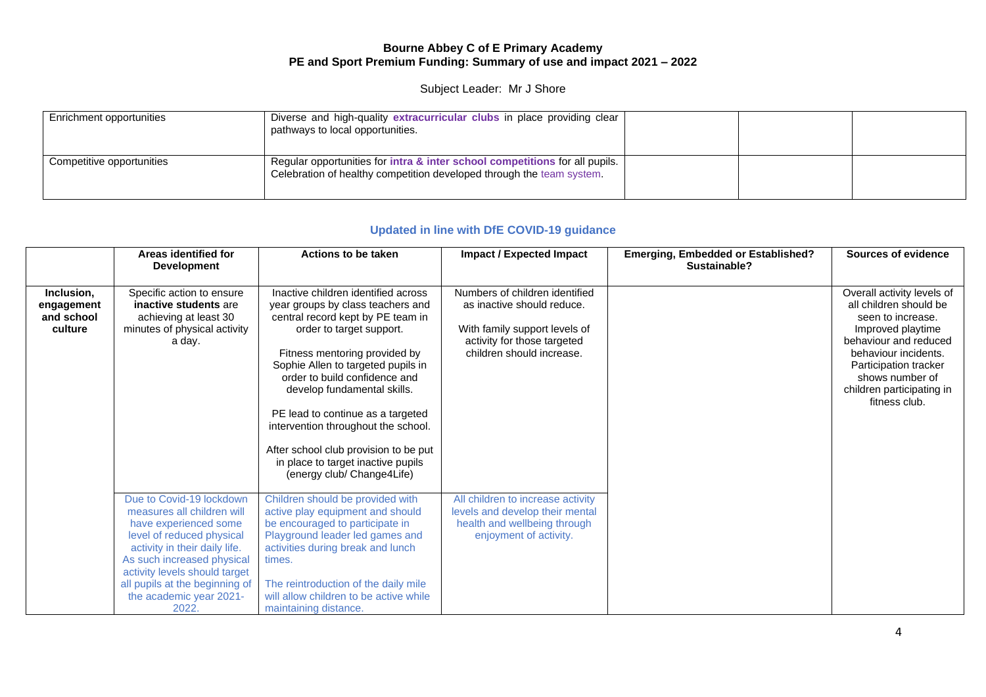## Subject Leader: Mr J Shore

| Enrichment opportunities  | Diverse and high-quality extracurricular clubs in place providing clear<br>pathways to local opportunities.                                          |  |  |
|---------------------------|------------------------------------------------------------------------------------------------------------------------------------------------------|--|--|
| Competitive opportunities | Regular opportunities for intra & inter school competitions for all pupils.<br>Celebration of healthy competition developed through the team system. |  |  |

## **Updated in line with DfE COVID-19 guidance**

|                                                   | Areas identified for<br><b>Development</b>                                                                                                                                                                                                                                         | Actions to be taken                                                                                                                                                                                                                                                                                                                                                                                                                                                       | Impact / Expected Impact                                                                                                                                  | <b>Emerging, Embedded or Established?</b><br>Sustainable? | Sources of evidence |                                                                                                                                                                                                                                           |
|---------------------------------------------------|------------------------------------------------------------------------------------------------------------------------------------------------------------------------------------------------------------------------------------------------------------------------------------|---------------------------------------------------------------------------------------------------------------------------------------------------------------------------------------------------------------------------------------------------------------------------------------------------------------------------------------------------------------------------------------------------------------------------------------------------------------------------|-----------------------------------------------------------------------------------------------------------------------------------------------------------|-----------------------------------------------------------|---------------------|-------------------------------------------------------------------------------------------------------------------------------------------------------------------------------------------------------------------------------------------|
| Inclusion,<br>engagement<br>and school<br>culture | Specific action to ensure<br>inactive students are<br>achieving at least 30<br>minutes of physical activity<br>a day.                                                                                                                                                              | Inactive children identified across<br>year groups by class teachers and<br>central record kept by PE team in<br>order to target support.<br>Fitness mentoring provided by<br>Sophie Allen to targeted pupils in<br>order to build confidence and<br>develop fundamental skills.<br>PE lead to continue as a targeted<br>intervention throughout the school.<br>After school club provision to be put<br>in place to target inactive pupils<br>(energy club/ Change4Life) | Numbers of children identified<br>as inactive should reduce.<br>With family support levels of<br>activity for those targeted<br>children should increase. |                                                           |                     | Overall activity levels of<br>all children should be<br>seen to increase.<br>Improved playtime<br>behaviour and reduced<br>behaviour incidents.<br>Participation tracker<br>shows number of<br>children participating in<br>fitness club. |
|                                                   | Due to Covid-19 lockdown<br>measures all children will<br>have experienced some<br>level of reduced physical<br>activity in their daily life.<br>As such increased physical<br>activity levels should target<br>all pupils at the beginning of<br>the academic year 2021-<br>2022. | Children should be provided with<br>active play equipment and should<br>be encouraged to participate in<br>Playground leader led games and<br>activities during break and lunch<br>times.<br>The reintroduction of the daily mile<br>will allow children to be active while<br>maintaining distance.                                                                                                                                                                      | All children to increase activity<br>levels and develop their mental<br>health and wellbeing through<br>enjoyment of activity.                            |                                                           |                     |                                                                                                                                                                                                                                           |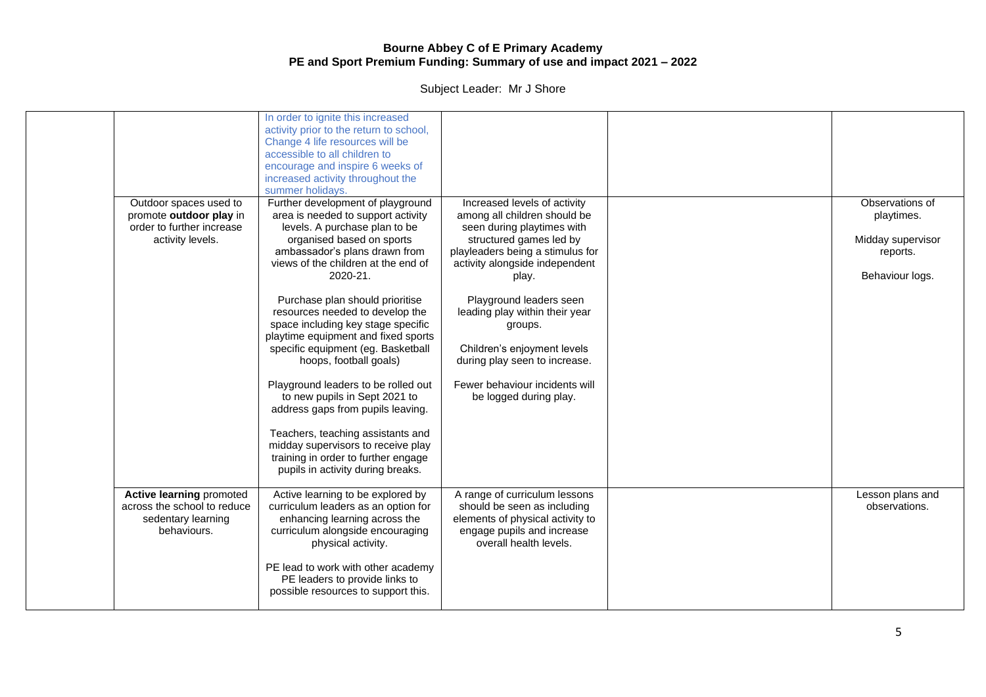| Outdoor spaces used to<br>promote outdoor play in<br>order to further increase<br>activity levels.  | In order to ignite this increased<br>activity prior to the return to school,<br>Change 4 life resources will be<br>accessible to all children to<br>encourage and inspire 6 weeks of<br>increased activity throughout the<br>summer holidays.<br>Further development of playground<br>area is needed to support activity<br>levels. A purchase plan to be<br>organised based on sports<br>ambassador's plans drawn from                                                             | Increased levels of activity<br>among all children should be<br>seen during playtimes with<br>structured games led by<br>playleaders being a stimulus for                                        | Observations of<br>playtimes.<br>Midday supervisor<br>reports. |
|-----------------------------------------------------------------------------------------------------|-------------------------------------------------------------------------------------------------------------------------------------------------------------------------------------------------------------------------------------------------------------------------------------------------------------------------------------------------------------------------------------------------------------------------------------------------------------------------------------|--------------------------------------------------------------------------------------------------------------------------------------------------------------------------------------------------|----------------------------------------------------------------|
|                                                                                                     | views of the children at the end of                                                                                                                                                                                                                                                                                                                                                                                                                                                 | activity alongside independent                                                                                                                                                                   |                                                                |
|                                                                                                     | 2020-21.                                                                                                                                                                                                                                                                                                                                                                                                                                                                            | play.                                                                                                                                                                                            | Behaviour logs.                                                |
|                                                                                                     | Purchase plan should prioritise<br>resources needed to develop the<br>space including key stage specific<br>playtime equipment and fixed sports<br>specific equipment (eg. Basketball<br>hoops, football goals)<br>Playground leaders to be rolled out<br>to new pupils in Sept 2021 to<br>address gaps from pupils leaving.<br>Teachers, teaching assistants and<br>midday supervisors to receive play<br>training in order to further engage<br>pupils in activity during breaks. | Playground leaders seen<br>leading play within their year<br>groups.<br>Children's enjoyment levels<br>during play seen to increase.<br>Fewer behaviour incidents will<br>be logged during play. |                                                                |
| <b>Active learning promoted</b><br>across the school to reduce<br>sedentary learning<br>behaviours. | Active learning to be explored by<br>curriculum leaders as an option for<br>enhancing learning across the<br>curriculum alongside encouraging<br>physical activity.<br>PE lead to work with other academy<br>PE leaders to provide links to<br>possible resources to support this.                                                                                                                                                                                                  | A range of curriculum lessons<br>should be seen as including<br>elements of physical activity to<br>engage pupils and increase<br>overall health levels.                                         | Lesson plans and<br>observations.                              |
|                                                                                                     |                                                                                                                                                                                                                                                                                                                                                                                                                                                                                     |                                                                                                                                                                                                  |                                                                |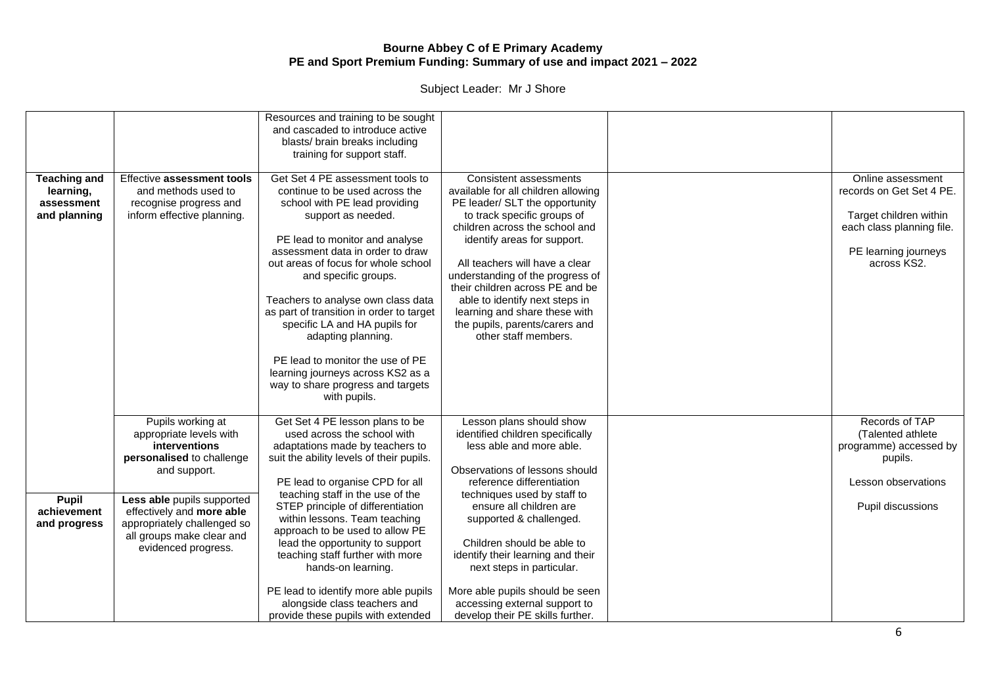|                                                                |                                                                                                                                                                                                                                                          | Resources and training to be sought<br>and cascaded to introduce active<br>blasts/ brain breaks including                                                                                                                                                                                                                                                                                                                                                                                                                             |                                                                                                                                                                                                                                                                                                                                                                                                                                       |                                                                                                                                             |
|----------------------------------------------------------------|----------------------------------------------------------------------------------------------------------------------------------------------------------------------------------------------------------------------------------------------------------|---------------------------------------------------------------------------------------------------------------------------------------------------------------------------------------------------------------------------------------------------------------------------------------------------------------------------------------------------------------------------------------------------------------------------------------------------------------------------------------------------------------------------------------|---------------------------------------------------------------------------------------------------------------------------------------------------------------------------------------------------------------------------------------------------------------------------------------------------------------------------------------------------------------------------------------------------------------------------------------|---------------------------------------------------------------------------------------------------------------------------------------------|
|                                                                |                                                                                                                                                                                                                                                          | training for support staff.                                                                                                                                                                                                                                                                                                                                                                                                                                                                                                           |                                                                                                                                                                                                                                                                                                                                                                                                                                       |                                                                                                                                             |
| <b>Teaching and</b><br>learning,<br>assessment<br>and planning | Effective assessment tools<br>and methods used to<br>recognise progress and<br>inform effective planning.                                                                                                                                                | Get Set 4 PE assessment tools to<br>continue to be used across the<br>school with PE lead providing<br>support as needed.<br>PE lead to monitor and analyse<br>assessment data in order to draw<br>out areas of focus for whole school<br>and specific groups.<br>Teachers to analyse own class data<br>as part of transition in order to target<br>specific LA and HA pupils for<br>adapting planning.<br>PE lead to monitor the use of PE<br>learning journeys across KS2 as a<br>way to share progress and targets<br>with pupils. | Consistent assessments<br>available for all children allowing<br>PE leader/ SLT the opportunity<br>to track specific groups of<br>children across the school and<br>identify areas for support.<br>All teachers will have a clear<br>understanding of the progress of<br>their children across PE and be<br>able to identify next steps in<br>learning and share these with<br>the pupils, parents/carers and<br>other staff members. | Online assessment<br>records on Get Set 4 PE.<br>Target children within<br>each class planning file.<br>PE learning journeys<br>across KS2. |
| <b>Pupil</b><br>achievement<br>and progress                    | Pupils working at<br>appropriate levels with<br>interventions<br>personalised to challenge<br>and support.<br>Less able pupils supported<br>effectively and more able<br>appropriately challenged so<br>all groups make clear and<br>evidenced progress. | Get Set 4 PE lesson plans to be<br>used across the school with<br>adaptations made by teachers to<br>suit the ability levels of their pupils.<br>PE lead to organise CPD for all<br>teaching staff in the use of the<br>STEP principle of differentiation<br>within lessons. Team teaching<br>approach to be used to allow PE<br>lead the opportunity to support<br>teaching staff further with more<br>hands-on learning.<br>PE lead to identify more able pupils<br>alongside class teachers and                                    | Lesson plans should show<br>identified children specifically<br>less able and more able.<br>Observations of lessons should<br>reference differentiation<br>techniques used by staff to<br>ensure all children are<br>supported & challenged.<br>Children should be able to<br>identify their learning and their<br>next steps in particular.<br>More able pupils should be seen                                                       | Records of TAP<br>(Talented athlete<br>programme) accessed by<br>pupils.<br>Lesson observations<br>Pupil discussions                        |
|                                                                |                                                                                                                                                                                                                                                          | provide these pupils with extended                                                                                                                                                                                                                                                                                                                                                                                                                                                                                                    | accessing external support to<br>develop their PE skills further.                                                                                                                                                                                                                                                                                                                                                                     |                                                                                                                                             |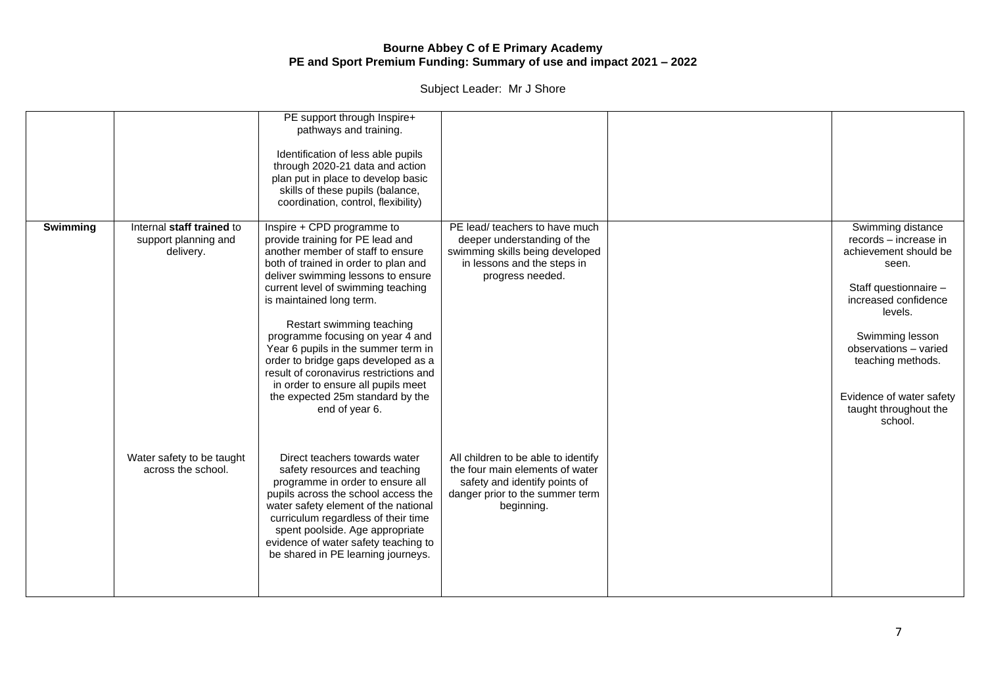|          |                                                                | PE support through Inspire+<br>pathways and training.<br>Identification of less able pupils<br>through 2020-21 data and action<br>plan put in place to develop basic<br>skills of these pupils (balance,<br>coordination, control, flexibility)                                                                                                                                                                                                                                                                                          |                                                                                                                                                          |                                                                                                                                                                                                                                                                           |
|----------|----------------------------------------------------------------|------------------------------------------------------------------------------------------------------------------------------------------------------------------------------------------------------------------------------------------------------------------------------------------------------------------------------------------------------------------------------------------------------------------------------------------------------------------------------------------------------------------------------------------|----------------------------------------------------------------------------------------------------------------------------------------------------------|---------------------------------------------------------------------------------------------------------------------------------------------------------------------------------------------------------------------------------------------------------------------------|
| Swimming | Internal staff trained to<br>support planning and<br>delivery. | Inspire + CPD programme to<br>provide training for PE lead and<br>another member of staff to ensure<br>both of trained in order to plan and<br>deliver swimming lessons to ensure<br>current level of swimming teaching<br>is maintained long term.<br>Restart swimming teaching<br>programme focusing on year 4 and<br>Year 6 pupils in the summer term in<br>order to bridge gaps developed as a<br>result of coronavirus restrictions and<br>in order to ensure all pupils meet<br>the expected 25m standard by the<br>end of year 6. | PE lead/ teachers to have much<br>deeper understanding of the<br>swimming skills being developed<br>in lessons and the steps in<br>progress needed.      | Swimming distance<br>records - increase in<br>achievement should be<br>seen.<br>Staff questionnaire -<br>increased confidence<br>levels.<br>Swimming lesson<br>observations - varied<br>teaching methods.<br>Evidence of water safety<br>taught throughout the<br>school. |
|          | Water safety to be taught<br>across the school.                | Direct teachers towards water<br>safety resources and teaching<br>programme in order to ensure all<br>pupils across the school access the<br>water safety element of the national<br>curriculum regardless of their time<br>spent poolside. Age appropriate<br>evidence of water safety teaching to<br>be shared in PE learning journeys.                                                                                                                                                                                                | All children to be able to identify<br>the four main elements of water<br>safety and identify points of<br>danger prior to the summer term<br>beginning. |                                                                                                                                                                                                                                                                           |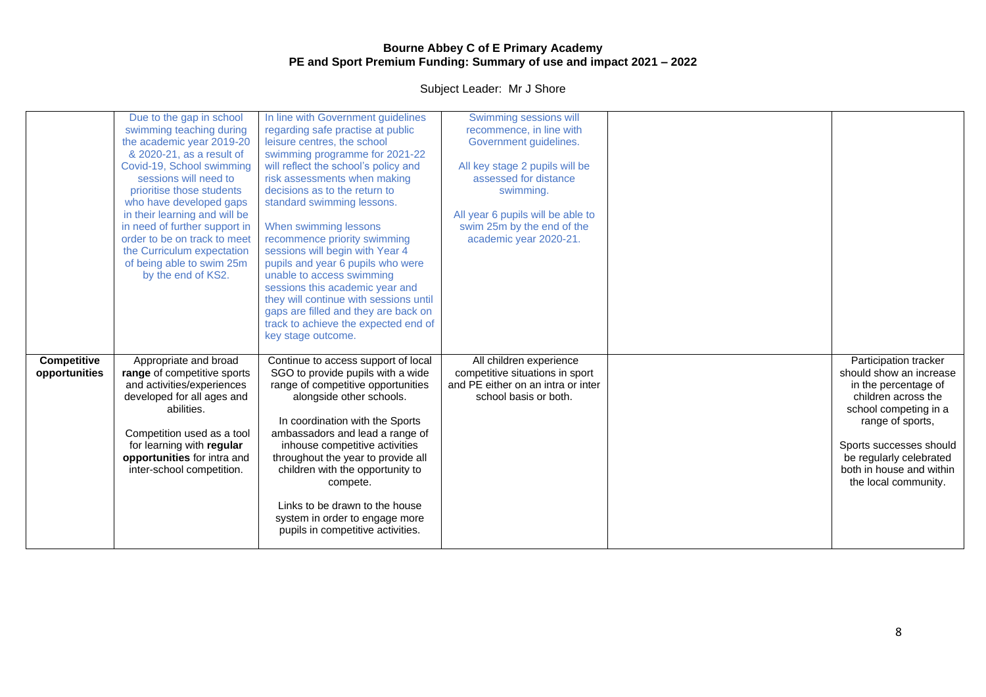|                              | Due to the gap in school<br>swimming teaching during<br>the academic year 2019-20<br>& 2020-21, as a result of<br>Covid-19, School swimming<br>sessions will need to<br>prioritise those students<br>who have developed gaps<br>in their learning and will be<br>in need of further support in<br>order to be on track to meet<br>the Curriculum expectation<br>of being able to swim 25m<br>by the end of KS2. | In line with Government guidelines<br>regarding safe practise at public<br>leisure centres, the school<br>swimming programme for 2021-22<br>will reflect the school's policy and<br>risk assessments when making<br>decisions as to the return to<br>standard swimming lessons.<br>When swimming lessons<br>recommence priority swimming<br>sessions will begin with Year 4<br>pupils and year 6 pupils who were<br>unable to access swimming<br>sessions this academic year and<br>they will continue with sessions until<br>gaps are filled and they are back on<br>track to achieve the expected end of<br>key stage outcome. | Swimming sessions will<br>recommence, in line with<br>Government guidelines.<br>All key stage 2 pupils will be<br>assessed for distance<br>swimming.<br>All year 6 pupils will be able to<br>swim 25m by the end of the<br>academic year 2020-21. |                                                                                                                                                                                                                                                        |
|------------------------------|-----------------------------------------------------------------------------------------------------------------------------------------------------------------------------------------------------------------------------------------------------------------------------------------------------------------------------------------------------------------------------------------------------------------|----------------------------------------------------------------------------------------------------------------------------------------------------------------------------------------------------------------------------------------------------------------------------------------------------------------------------------------------------------------------------------------------------------------------------------------------------------------------------------------------------------------------------------------------------------------------------------------------------------------------------------|---------------------------------------------------------------------------------------------------------------------------------------------------------------------------------------------------------------------------------------------------|--------------------------------------------------------------------------------------------------------------------------------------------------------------------------------------------------------------------------------------------------------|
| Competitive<br>opportunities | Appropriate and broad<br>range of competitive sports<br>and activities/experiences<br>developed for all ages and<br>abilities.<br>Competition used as a tool<br>for learning with regular<br>opportunities for intra and<br>inter-school competition.                                                                                                                                                           | Continue to access support of local<br>SGO to provide pupils with a wide<br>range of competitive opportunities<br>alongside other schools.<br>In coordination with the Sports<br>ambassadors and lead a range of<br>inhouse competitive activities<br>throughout the year to provide all<br>children with the opportunity to<br>compete.<br>Links to be drawn to the house<br>system in order to engage more<br>pupils in competitive activities.                                                                                                                                                                                | All children experience<br>competitive situations in sport<br>and PE either on an intra or inter<br>school basis or both.                                                                                                                         | Participation tracker<br>should show an increase<br>in the percentage of<br>children across the<br>school competing in a<br>range of sports,<br>Sports successes should<br>be regularly celebrated<br>both in house and within<br>the local community. |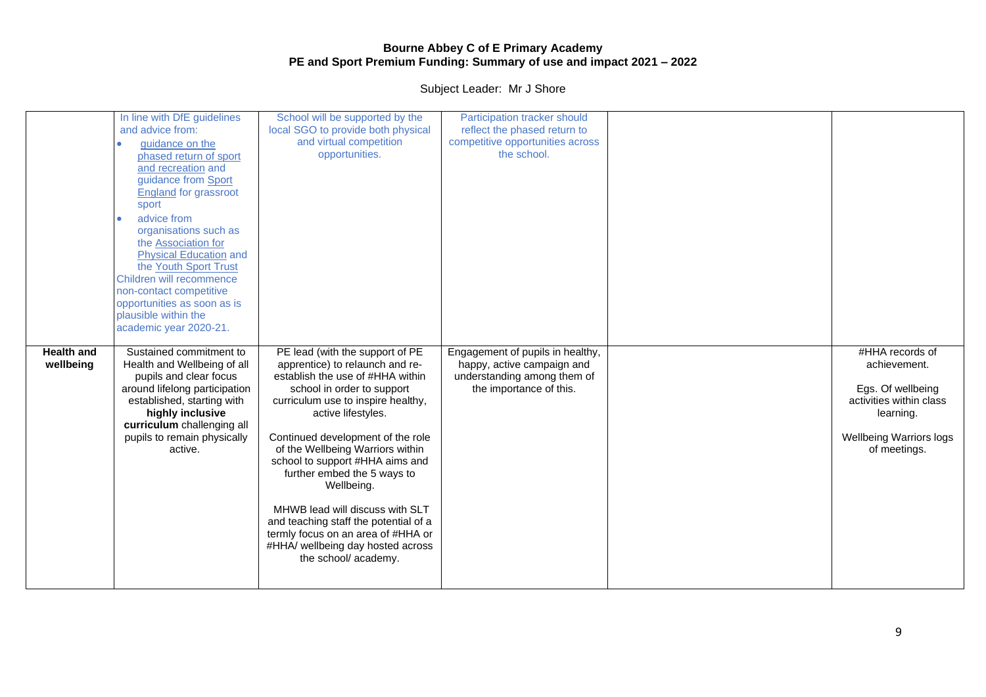|                                | In line with DfE guidelines<br>and advice from:<br>guidance on the<br>phased return of sport<br>and recreation and<br>guidance from Sport<br><b>England for grassroot</b><br>sport                                                                            | School will be supported by the<br>local SGO to provide both physical<br>and virtual competition<br>opportunities.                                                                                                                                                                                                                                                                                                                                                                                                                       | Participation tracker should<br>reflect the phased return to<br>competitive opportunities across<br>the school.          |                                                                                                                                         |
|--------------------------------|---------------------------------------------------------------------------------------------------------------------------------------------------------------------------------------------------------------------------------------------------------------|------------------------------------------------------------------------------------------------------------------------------------------------------------------------------------------------------------------------------------------------------------------------------------------------------------------------------------------------------------------------------------------------------------------------------------------------------------------------------------------------------------------------------------------|--------------------------------------------------------------------------------------------------------------------------|-----------------------------------------------------------------------------------------------------------------------------------------|
|                                | advice from<br>organisations such as<br>the Association for<br><b>Physical Education and</b><br>the Youth Sport Trust<br>Children will recommence<br>non-contact competitive<br>opportunities as soon as is<br>plausible within the<br>academic year 2020-21. |                                                                                                                                                                                                                                                                                                                                                                                                                                                                                                                                          |                                                                                                                          |                                                                                                                                         |
| <b>Health and</b><br>wellbeing | Sustained commitment to<br>Health and Wellbeing of all<br>pupils and clear focus<br>around lifelong participation<br>established, starting with<br>highly inclusive<br>curriculum challenging all<br>pupils to remain physically<br>active.                   | PE lead (with the support of PE<br>apprentice) to relaunch and re-<br>establish the use of #HHA within<br>school in order to support<br>curriculum use to inspire healthy,<br>active lifestyles.<br>Continued development of the role<br>of the Wellbeing Warriors within<br>school to support #HHA aims and<br>further embed the 5 ways to<br>Wellbeing.<br>MHWB lead will discuss with SLT<br>and teaching staff the potential of a<br>termly focus on an area of #HHA or<br>#HHA/ wellbeing day hosted across<br>the school/ academy. | Engagement of pupils in healthy,<br>happy, active campaign and<br>understanding among them of<br>the importance of this. | #HHA records of<br>achievement.<br>Egs. Of wellbeing<br>activities within class<br>learning.<br>Wellbeing Warriors logs<br>of meetings. |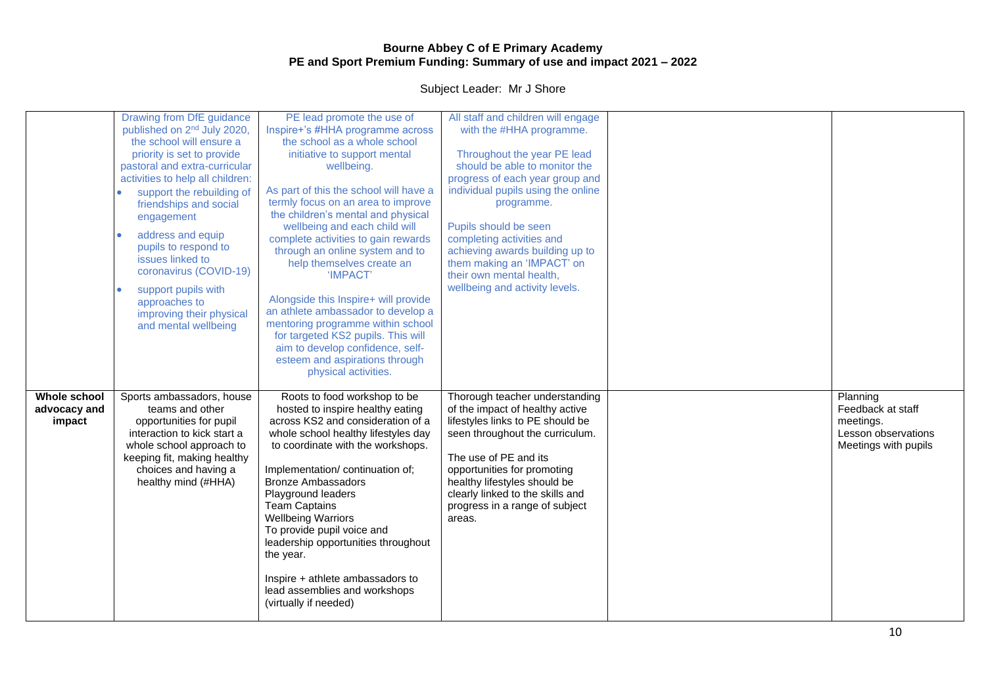|                                        | Drawing from DfE guidance<br>published on 2 <sup>nd</sup> July 2020,<br>the school will ensure a<br>priority is set to provide<br>pastoral and extra-curricular<br>activities to help all children:<br>support the rebuilding of<br>$\bullet$<br>friendships and social<br>engagement<br>address and equip<br>$\bullet$<br>pupils to respond to<br>issues linked to<br>coronavirus (COVID-19)<br>support pupils with<br>$\bullet$<br>approaches to<br>improving their physical<br>and mental wellbeing | PE lead promote the use of<br>Inspire+'s #HHA programme across<br>the school as a whole school<br>initiative to support mental<br>wellbeing.<br>As part of this the school will have a<br>termly focus on an area to improve<br>the children's mental and physical<br>wellbeing and each child will<br>complete activities to gain rewards<br>through an online system and to<br>help themselves create an<br>'IMPACT'<br>Alongside this Inspire+ will provide<br>an athlete ambassador to develop a<br>mentoring programme within school<br>for targeted KS2 pupils. This will<br>aim to develop confidence, self-<br>esteem and aspirations through<br>physical activities. | All staff and children will engage<br>with the #HHA programme.<br>Throughout the year PE lead<br>should be able to monitor the<br>progress of each year group and<br>individual pupils using the online<br>programme.<br>Pupils should be seen<br>completing activities and<br>achieving awards building up to<br>them making an 'IMPACT' on<br>their own mental health,<br>wellbeing and activity levels. |                                                                                           |
|----------------------------------------|--------------------------------------------------------------------------------------------------------------------------------------------------------------------------------------------------------------------------------------------------------------------------------------------------------------------------------------------------------------------------------------------------------------------------------------------------------------------------------------------------------|-------------------------------------------------------------------------------------------------------------------------------------------------------------------------------------------------------------------------------------------------------------------------------------------------------------------------------------------------------------------------------------------------------------------------------------------------------------------------------------------------------------------------------------------------------------------------------------------------------------------------------------------------------------------------------|------------------------------------------------------------------------------------------------------------------------------------------------------------------------------------------------------------------------------------------------------------------------------------------------------------------------------------------------------------------------------------------------------------|-------------------------------------------------------------------------------------------|
| Whole school<br>advocacy and<br>impact | Sports ambassadors, house<br>teams and other<br>opportunities for pupil<br>interaction to kick start a<br>whole school approach to<br>keeping fit, making healthy<br>choices and having a<br>healthy mind (#HHA)                                                                                                                                                                                                                                                                                       | Roots to food workshop to be<br>hosted to inspire healthy eating<br>across KS2 and consideration of a<br>whole school healthy lifestyles day<br>to coordinate with the workshops.<br>Implementation/continuation of;<br><b>Bronze Ambassadors</b><br>Playground leaders<br><b>Team Captains</b><br><b>Wellbeing Warriors</b><br>To provide pupil voice and<br>leadership opportunities throughout<br>the year.<br>Inspire + athlete ambassadors to<br>lead assemblies and workshops<br>(virtually if needed)                                                                                                                                                                  | Thorough teacher understanding<br>of the impact of healthy active<br>lifestyles links to PE should be<br>seen throughout the curriculum.<br>The use of PE and its<br>opportunities for promoting<br>healthy lifestyles should be<br>clearly linked to the skills and<br>progress in a range of subject<br>areas.                                                                                           | Planning<br>Feedback at staff<br>meetings.<br>Lesson observations<br>Meetings with pupils |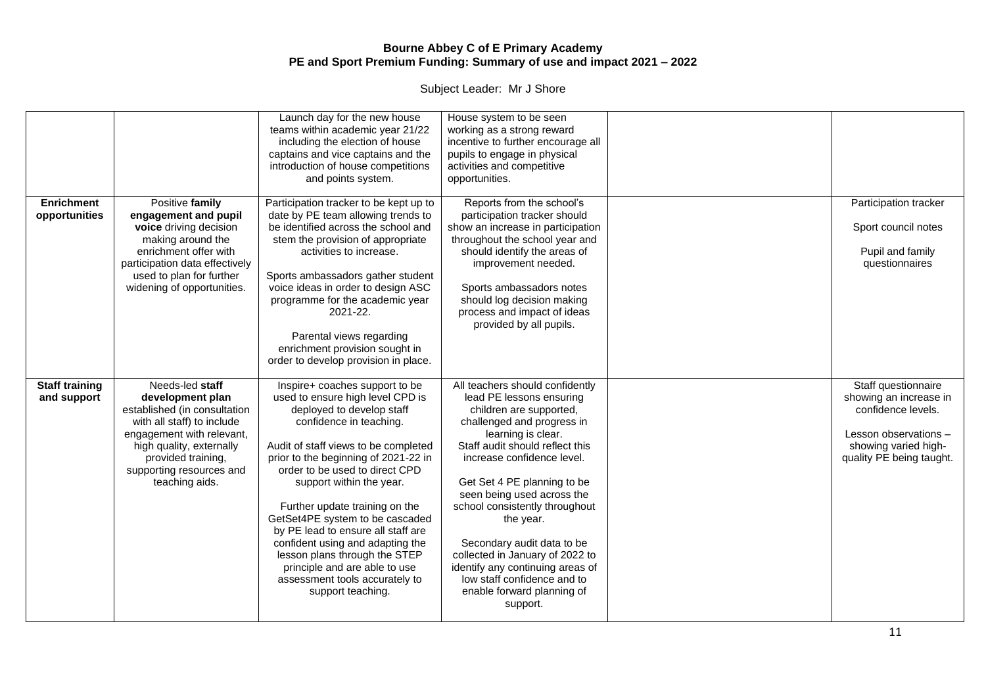|                                      |                                                                                                                                                                                                                                | Launch day for the new house<br>teams within academic year 21/22<br>including the election of house<br>captains and vice captains and the<br>introduction of house competitions<br>and points system.                                                                                                                                                                                                                                                                                                                                            | House system to be seen<br>working as a strong reward<br>incentive to further encourage all<br>pupils to engage in physical<br>activities and competitive<br>opportunities.                                                                                                                                                                                                                                                                                                                           |                                                                                                                                                  |
|--------------------------------------|--------------------------------------------------------------------------------------------------------------------------------------------------------------------------------------------------------------------------------|--------------------------------------------------------------------------------------------------------------------------------------------------------------------------------------------------------------------------------------------------------------------------------------------------------------------------------------------------------------------------------------------------------------------------------------------------------------------------------------------------------------------------------------------------|-------------------------------------------------------------------------------------------------------------------------------------------------------------------------------------------------------------------------------------------------------------------------------------------------------------------------------------------------------------------------------------------------------------------------------------------------------------------------------------------------------|--------------------------------------------------------------------------------------------------------------------------------------------------|
| <b>Enrichment</b><br>opportunities   | Positive family<br>engagement and pupil<br>voice driving decision<br>making around the<br>enrichment offer with<br>participation data effectively<br>used to plan for further<br>widening of opportunities.                    | Participation tracker to be kept up to<br>date by PE team allowing trends to<br>be identified across the school and<br>stem the provision of appropriate<br>activities to increase.<br>Sports ambassadors gather student<br>voice ideas in order to design ASC<br>programme for the academic year<br>2021-22.<br>Parental views regarding<br>enrichment provision sought in<br>order to develop provision in place.                                                                                                                              | Reports from the school's<br>participation tracker should<br>show an increase in participation<br>throughout the school year and<br>should identify the areas of<br>improvement needed.<br>Sports ambassadors notes<br>should log decision making<br>process and impact of ideas<br>provided by all pupils.                                                                                                                                                                                           | Participation tracker<br>Sport council notes<br>Pupil and family<br>questionnaires                                                               |
| <b>Staff training</b><br>and support | Needs-led staff<br>development plan<br>established (in consultation<br>with all staff) to include<br>engagement with relevant,<br>high quality, externally<br>provided training,<br>supporting resources and<br>teaching aids. | Inspire+ coaches support to be<br>used to ensure high level CPD is<br>deployed to develop staff<br>confidence in teaching.<br>Audit of staff views to be completed<br>prior to the beginning of 2021-22 in<br>order to be used to direct CPD<br>support within the year.<br>Further update training on the<br>GetSet4PE system to be cascaded<br>by PE lead to ensure all staff are<br>confident using and adapting the<br>lesson plans through the STEP<br>principle and are able to use<br>assessment tools accurately to<br>support teaching. | All teachers should confidently<br>lead PE lessons ensuring<br>children are supported,<br>challenged and progress in<br>learning is clear.<br>Staff audit should reflect this<br>increase confidence level.<br>Get Set 4 PE planning to be<br>seen being used across the<br>school consistently throughout<br>the year.<br>Secondary audit data to be<br>collected in January of 2022 to<br>identify any continuing areas of<br>low staff confidence and to<br>enable forward planning of<br>support. | Staff questionnaire<br>showing an increase in<br>confidence levels.<br>Lesson observations -<br>showing varied high-<br>quality PE being taught. |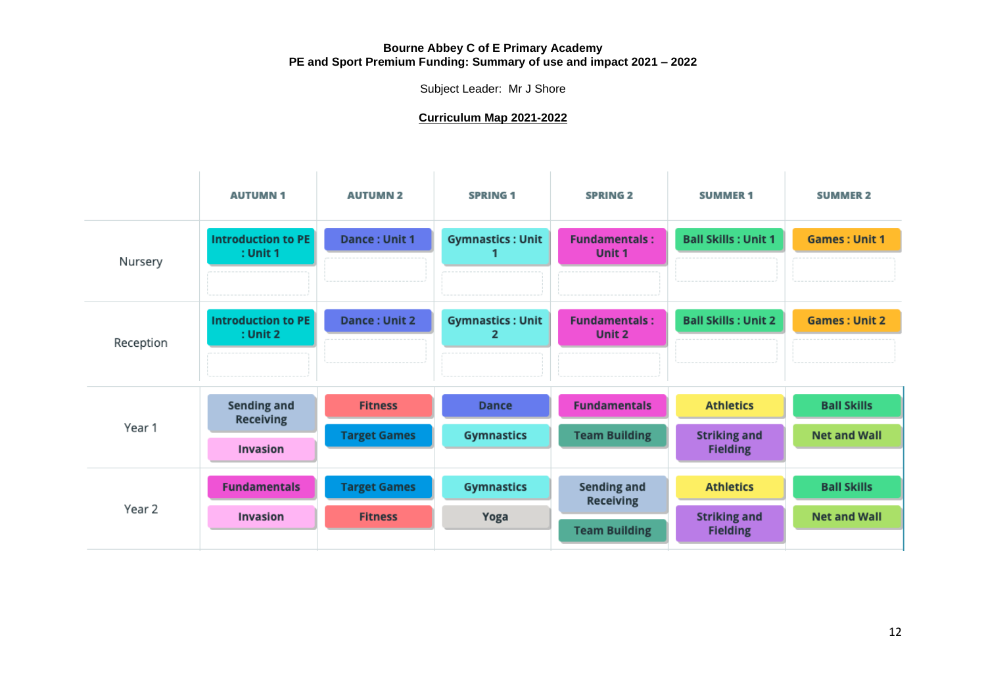Subject Leader: Mr J Shore

## **Curriculum Map 2021-2022**

|           | <b>AUTUMN1</b>                         | <b>AUTUMN 2</b>     | <b>SPRING 1</b>              | <b>SPRING 2</b>                        | <b>SUMMER 1</b>                        | <b>SUMMER 2</b>      |
|-----------|----------------------------------------|---------------------|------------------------------|----------------------------------------|----------------------------------------|----------------------|
| Nursery   | Introduction to PE<br>$:$ Unit 1       | Dance: Unit 1       | <b>Gymnastics: Unit</b>      | <b>Fundamentals:</b><br>Unit 1         | <b>Ball Skills: Unit 1</b>             | <b>Games: Unit 1</b> |
| Reception | Introduction to PE<br>$:$ Unit 2       | Dance: Unit 2       | <b>Gymnastics: Unit</b><br>2 | <b>Fundamentals:</b><br>Unit 2         | <b>Ball Skills: Unit 2</b>             | <b>Games: Unit 2</b> |
| Year 1    | <b>Sending and</b><br><b>Receiving</b> | <b>Fitness</b>      | <b>Dance</b>                 | <b>Fundamentals</b>                    | <b>Athletics</b>                       | <b>Ball Skills</b>   |
|           | <b>Invasion</b>                        | <b>Target Games</b> | <b>Gymnastics</b>            | <b>Team Building</b>                   | <b>Striking and</b><br><b>Fielding</b> | <b>Net and Wall</b>  |
| Year 2    | <b>Fundamentals</b>                    | <b>Target Games</b> | <b>Gymnastics</b>            | <b>Sending and</b><br><b>Receiving</b> | <b>Athletics</b>                       | <b>Ball Skills</b>   |
|           | <b>Invasion</b>                        | <b>Fitness</b>      | Yoga                         | <b>Team Building</b>                   | <b>Striking and</b><br><b>Fielding</b> | <b>Net and Wall</b>  |